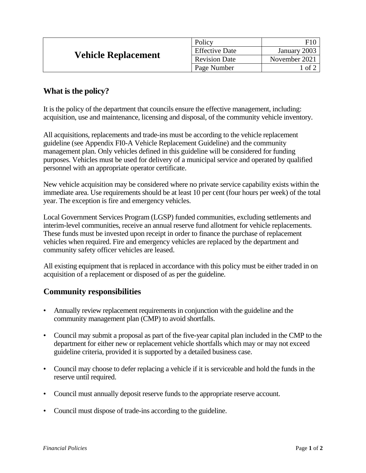| <b>Vehicle Replacement</b> | Policy                | F1(           |
|----------------------------|-----------------------|---------------|
|                            | <b>Effective Date</b> | January 2003  |
|                            | <b>Revision Date</b>  | November 2021 |
|                            | Page Number           | _of ∶         |

## **What is the policy?**

It is the policy of the department that councils ensure the effective management, including: acquisition, use and maintenance, licensing and disposal, of the community vehicle inventory.

All acquisitions, replacements and trade-ins must be according to the vehicle replacement guideline (see Appendix FI0-A Vehicle Replacement Guideline) and the community management plan. Only vehicles defined in this guideline will be considered for funding purposes. Vehicles must be used for delivery of a municipal service and operated by qualified personnel with an appropriate operator certificate.

New vehicle acquisition may be considered where no private service capability exists within the immediate area. Use requirements should be at least 10 per cent (four hours per week) of the total year. The exception is fire and emergency vehicles.

Local Government Services Program (LGSP) funded communities, excluding settlements and interim-level communities, receive an annual reserve fund allotment for vehicle replacements. These funds must be invested upon receipt in order to finance the purchase of replacement vehicles when required. Fire and emergency vehicles are replaced by the department and community safety officer vehicles are leased.

All existing equipment that is replaced in accordance with this policy must be either traded in on acquisition of a replacement or disposed of as per the guideline.

## **Community responsibilities**

- Annually review replacement requirements in conjunction with the guideline and the community management plan (CMP) to avoid shortfalls.
- Council may submit a proposal as part of the five-year capital plan included in the CMP to the department for either new or replacement vehicle shortfalls which may or may not exceed guideline criteria, provided it is supported by a detailed business case.
- Council may choose to defer replacing a vehicle if it is serviceable and hold the funds in the reserve until required.
- Council must annually deposit reserve funds to the appropriate reserve account.
- Council must dispose of trade-ins according to the guideline.